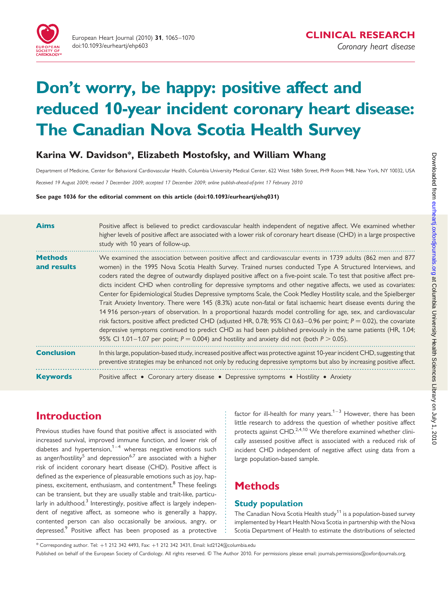

# Don't worry, be happy: positive affect and reduced 10-year incident coronary heart disease: The Canadian Nova Scotia Health Survey

# Karina W. Davidson\*, Elizabeth Mostofsky, and William Whang

Department of Medicine, Center for Behavioral Cardiovascular Health, Columbia University Medical Center, 622 West 168th Street, PH9 Room 948, New York, NY 10032, USA Received 19 August 2009; revised 7 December 2009; accepted 17 December 2009; online publish-ahead-of-print 17 February 2010

See page 1036 for the editorial comment on this article (doi:10.1093/eurheartj/ehq031)

| <b>Aims</b>                   | Positive affect is believed to predict cardiovascular health independent of negative affect. We examined whether<br>higher levels of positive affect are associated with a lower risk of coronary heart disease (CHD) in a large prospective<br>study with 10 years of follow-up.                                                                                                                                                                                                                                                                                                                                                                                                                                                                                                                                                                                                                                                                                                                                                                                                                                                                                                    |
|-------------------------------|--------------------------------------------------------------------------------------------------------------------------------------------------------------------------------------------------------------------------------------------------------------------------------------------------------------------------------------------------------------------------------------------------------------------------------------------------------------------------------------------------------------------------------------------------------------------------------------------------------------------------------------------------------------------------------------------------------------------------------------------------------------------------------------------------------------------------------------------------------------------------------------------------------------------------------------------------------------------------------------------------------------------------------------------------------------------------------------------------------------------------------------------------------------------------------------|
| <b>Methods</b><br>and results | We examined the association between positive affect and cardiovascular events in 1739 adults (862 men and 877<br>women) in the 1995 Nova Scotia Health Survey. Trained nurses conducted Type A Structured Interviews, and<br>coders rated the degree of outwardly displayed positive affect on a five-point scale. To test that positive affect pre-<br>dicts incident CHD when controlling for depressive symptoms and other negative affects, we used as covariates:<br>Center for Epidemiological Studies Depressive symptoms Scale, the Cook Medley Hostility scale, and the Spielberger<br>Trait Anxiety Inventory. There were 145 (8.3%) acute non-fatal or fatal ischaemic heart disease events during the<br>14 916 person-years of observation. In a proportional hazards model controlling for age, sex, and cardiovascular<br>risk factors, positive affect predicted CHD (adjusted HR, 0.78; 95% CI 0.63–0.96 per point; $P = 0.02$ ), the covariate<br>depressive symptoms continued to predict CHD as had been published previously in the same patients (HR, 1.04;<br>95% CI 1.01-1.07 per point; $P = 0.004$ ) and hostility and anxiety did not (both $P > 0.05$ ). |
| <b>Conclusion</b>             | In this large, population-based study, increased positive affect was protective against 10-year incident CHD, suggesting that<br>preventive strategies may be enhanced not only by reducing depressive symptoms but also by increasing positive affect.                                                                                                                                                                                                                                                                                                                                                                                                                                                                                                                                                                                                                                                                                                                                                                                                                                                                                                                              |
| <b>Keywords</b>               | Positive affect • Coronary artery disease • Depressive symptoms • Hostility • Anxiety                                                                                                                                                                                                                                                                                                                                                                                                                                                                                                                                                                                                                                                                                                                                                                                                                                                                                                                                                                                                                                                                                                |

# Introduction

Previous studies have found that positive affect is associated with increased survival, improved immune function, and lower risk of diabetes and hypertension, $1-4$  whereas negative emotions such as anger/hostility<sup>5</sup> and depression<sup>6,7</sup> are associated with a higher risk of incident coronary heart disease (CHD). Positive affect is defined as the experience of pleasurable emotions such as joy, happiness, excitement, enthusiasm, and contentment.<sup>8</sup> These feelings can be transient, but they are usually stable and trait-like, particularly in adulthood.<sup>3</sup> Interestingly, positive affect is largely independent of negative affect, as someone who is generally a happy, contented person can also occasionally be anxious, angry, or depressed.<sup>9</sup> Positive affect has been proposed as a protective factor for ill-health for many years.<sup> $1-3$ </sup> However, there has been little research to address the question of whether positive affect protects against CHD.<sup>2,4,10</sup> We therefore examined whether clinically assessed positive affect is associated with a reduced risk of incident CHD independent of negative affect using data from a large population-based sample.

# **Methods**

## Study population

The Canadian Nova Scotia Health study<sup>11</sup> is a population-based survey implemented by Heart Health Nova Scotia in partnership with the Nova Scotia Department of Health to estimate the distributions of selected

 $*$  Corresponding author. Tel:  $+1$  212 342 4493, Fax:  $+1$  212 342 3431, Email: kd2124@columbia.edu

Published on behalf of the European Society of Cardiology. All rights reserved. © The Author 2010. For permissions please email: journals.permissions@oxfordjournals.org.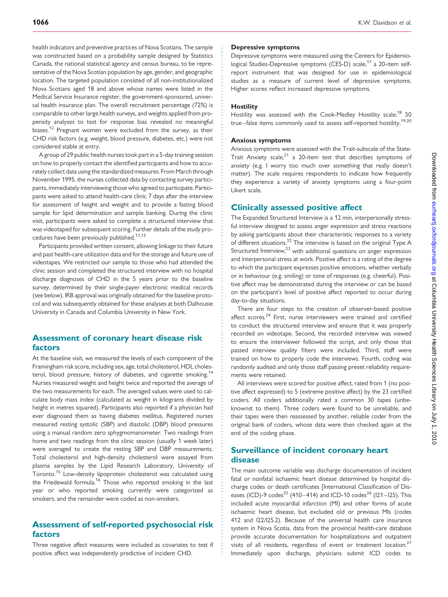health indicators and preventive practices of Nova Scotians. The sample was constructed based on a probability sample designed by Statistics Canada, the national statistical agency and census bureau, to be representative of the Nova Scotian population by age, gender, and geographic location. The targeted population consisted of all non-institutionalized Nova Scotians aged 18 and above whose names were listed in the Medical Service Insurance register, the government-sponsored, universal health insurance plan. The overall recruitment percentage (72%) is comparable to other large health surveys, and weights applied from propensity analyses to test for response bias revealed no meaningful biases.<sup>12</sup> Pregnant women were excluded from the survey, as their CHD risk factors (e.g. weight, blood pressure, diabetes, etc.) were not considered stable at entry.

A group of 29 public health nurses took part in a 5-day training session on how to properly contact the identified participants and how to accurately collect data using the standardized measures. From March through November 1995, the nurses collected data by contacting survey participants, immediately interviewing those who agreed to participate. Participants were asked to attend health-care clinic 7 days after the interview for assessment of height and weight and to provide a fasting blood sample for lipid determination and sample banking. During the clinic visit, participants were asked to complete a structured interview that was videotaped for subsequent scoring. Further details of the study procedures have been previously published.<sup>11,13</sup>

Participants provided written consent, allowing linkage to their future and past health-care utilization data and for the storage and future use of videotapes. We restricted our sample to those who had attended the clinic session and completed the structured interview with no hospital discharge diagnoses of CHD in the 5 years prior to the baseline survey, determined by their single-payer electronic medical records (see below). IRB approval was originally obtained for the baseline protocol and was subsequently obtained for these analyses at both Dalhousie University in Canada and Columbia University in New York.

#### Assessment of coronary heart disease risk factors

At the baseline visit, we measured the levels of each component of the Framingham risk score, including sex, age, total cholesterol, HDL cholesterol, blood pressure, history of diabetes, and cigarette smoking.<sup>14</sup> Nurses measured weight and height twice and reported the average of the two measurements for each. The averaged values were used to calculate body mass index (calculated as weight in kilograms divided by height in metres squared). Participants also reported if a physician had ever diagnosed them as having diabetes mellitus. Registered nurses measured resting systolic (SBP) and diastolic (DBP) blood pressures using a manual random zero sphygmomanometer. Two readings from home and two readings from the clinic session (usually 1 week later) were averaged to create the resting SBP and DBP measurements. Total cholesterol and high-density cholesterol were assayed from plasma samples by the Lipid Research Laboratory, University of Toronto.<sup>15</sup> Low-density lipoprotein cholesterol was calculated using the Friedewald formula.<sup>16</sup> Those who reported smoking in the last year or who reported smoking currently were categorized as smokers, and the remainder were coded as non-smokers.

#### Assessment of self-reported psychosocial risk factors

Three negative affect measures were included as covariates to test if positive affect was independently predictive of incident CHD.

#### Depressive symptoms

Depressive symptoms were measured using the Centers for Epidemiological Studies-Depressive symptoms (CES-D) scale,<sup>17</sup> a 20-item selfreport instrument that was designed for use in epidemiological studies as a measure of current level of depressive symptoms. Higher scores reflect increased depressive symptoms.

#### **Hostility**

Hostility was assessed with the Cook-Medley Hostility scale;<sup>18</sup> 50 true–false items commonly used to assess self-reported hostility.19,20

#### Anxious symptoms

Anxious symptoms were assessed with the Trait-subscale of the State-Trait Anxiety scale,  $21$  a 20-item test that describes symptoms of anxiety (e.g. I worry too much over something that really doesn't matter). The scale requires respondents to indicate how frequently they experience a variety of anxiety symptoms using a four-point Likert scale.

#### Clinically assessed positive affect

The Expanded Structured Interview is a 12 min, interpersonally stressful interview designed to assess anger expression and stress reactions by asking participants about their characteristic responses to a variety of different situations.<sup>22</sup> The interview is based on the original Type A Structured Interview, $^{23}$  with additional questions on anger expression and interpersonal stress at work. Positive affect is a rating of the degree to which the participant expresses positive emotions, whether verbally or in behaviour (e.g. smiling) or tone of responses (e.g. cheerful). Positive affect may be demonstrated during the interview or can be based on the participant's level of positive affect reported to occur during day-to-day situations.

There are four steps to the creation of observer-based positive affect scores.<sup>24</sup> First, nurse interviewers were trained and certified to conduct the structured interview and ensure that it was properly recorded on videotape. Second, the recorded interview was viewed to ensure the interviewer followed the script, and only those that passed interview quality filters were included. Third, staff were trained on how to properly code the interviews. Fourth, coding was randomly audited and only those staff passing preset reliability requirements were retained.

All interviews were scored for positive affect, rated from 1 (no positive affect expressed) to 5 (extreme positive affect) by the 23 certified coders. All coders additionally rated a common 30 tapes (unbeknownst to them). Three coders were found to be unreliable, and their tapes were then reassessed by another, reliable coder from the original bank of coders, whose data were then checked again at the end of the coding phase.

#### Surveillance of incident coronary heart disease

The main outcome variable was discharge documentation of incident fatal or nonfatal ischaemic heart disease determined by hospital discharge codes or death certificates [International Classification of Diseases (ICD)-9 codes<sup>25</sup> (410-414) and ICD-10 codes<sup>26</sup> (I21-I25). This included acute myocardial infarction (MI) and other forms of acute ischaemic heart disease, but excluded old or previous MIs (codes 412 and I22/I25.2). Because of the universal health care insurance system in Nova Scotia, data from the provincial health-care database provide accurate documentation for hospitalizations and outpatient visits of all residents, regardless of event or treatment location.<sup>27</sup> Immediately upon discharge, physicians submit ICD codes to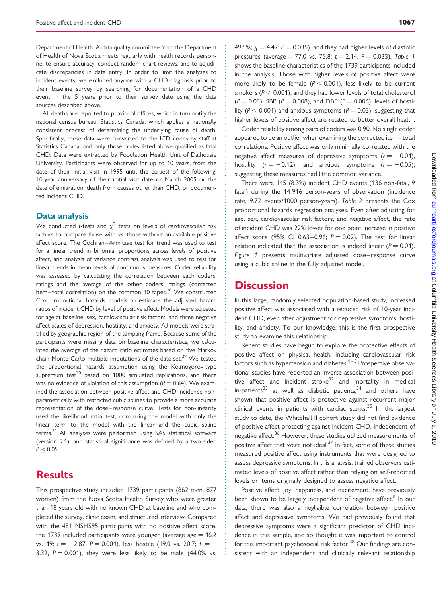Department of Health. A data quality committee from the Department of Health of Nova Scotia meets regularly with health records personnel to ensure accuracy, conduct random chart reviews, and to adjudicate discrepancies in data entry. In order to limit the analyses to incident events, we excluded anyone with a CHD diagnosis prior to their baseline survey by searching for documentation of a CHD event in the 5 years prior to their survey date using the data sources described above.

All deaths are reported to provincial offices, which in turn notify the national census bureau, Statistics Canada, which applies a nationally consistent process of determining the underlying cause of death. Specifically, these data were converted to the ICD codes by staff at Statistics Canada, and only those codes listed above qualified as fatal CHD. Data were extracted by Population Health Unit of Dalhousie University. Participants were observed for up to 10 years, from the date of their initial visit in 1995 until the earliest of the following: 10-year anniversary of their initial visit date or March 2005 or the date of emigration, death from causes other than CHD, or documented incident CHD.

#### Data analysis

We conducted t-tests and  $\chi^2$  tests on levels of cardiovascular risk factors to compare those with vs. those without an available positive affect score. The Cochran–Armitage test for trend was used to test for a linear trend in binomial proportions across levels of positive affect, and analysis of variance contrast analysis was used to test for linear trends in mean levels of continuous measures. Coder reliability was assessed by calculating the correlation between each coders' ratings and the average of the other coders' ratings (corrected item-total correlation) on the common 30 tapes.<sup>28</sup> We constructed Cox proportional hazards models to estimate the adjusted hazard ratios of incident CHD by level of positive affect. Models were adjusted for age at baseline, sex, cardiovascular risk factors, and three negative affect scales of depression, hostility, and anxiety. All models were stratified by geographic region of the sampling frame. Because some of the participants were missing data on baseline characteristics, we calculated the average of the hazard ratio estimates based on five Markov chain Monte Carlo multiple imputations of the data set.<sup>29</sup> We tested the proportional hazards assumption using the Kolmogorov-type supremum test $30$  based on 1000 simulated replications, and there was no evidence of violation of this assumption ( $P = 0.64$ ). We examined the association between positive affect and CHD incidence nonparametrically with restricted cubic splines to provide a more accurate representation of the dose – response curve. Tests for non-linearity used the likelihood ratio test, comparing the model with only the linear term to the model with the linear and the cubic spline terms.31 All analyses were performed using SAS statistical software (version 9.1), and statistical significance was defined by a two-sided  $P \leq 0.05$ .

# **Results**

This prospective study included 1739 participants (862 men, 877 women) from the Nova Scotia Health Survey who were greater than 18 years old with no known CHD at baseline and who completed the survey, clinic exam, and structured interview. Compared with the 481 NSHS95 participants with no positive affect score, the 1739 included participants were younger (average age  $= 46.2$ ) vs. 49;  $t = -2.87$ ,  $P = 0.004$ ), less hostile (19.0 vs. 20.7;  $t = -$ 3.32,  $P = 0.001$ ), they were less likely to be male (44.0% vs.

49.5%;  $\chi$  = 4.47; P = 0.035), and they had higher levels of diastolic pressures (average = 77.0 vs. 75.8;  $t = 2.14$ ,  $P = 0.033$ ). Table 1 shows the baseline characteristics of the 1739 participants included in the analysis. Those with higher levels of positive affect were more likely to be female ( $P < 0.001$ ), less likely to be current smokers ( $P < 0.001$ ), and they had lower levels of total cholesterol  $(P = 0.03)$ , SBP ( $P = 0.008$ ), and DBP ( $P = 0.006$ ), levels of hostility ( $P < 0.001$ ) and anxious symptoms ( $P = 0.03$ ), suggesting that higher levels of positive affect are related to better overall health.

Coder reliability among pairs of coders was 0.90. No single coder appeared to be an outlier when examining the corrected item– total correlations. Positive affect was only minimally correlated with the negative affect measures of depressive symptoms ( $r = -0.04$ ), hostility  $(r = -0.12)$ , and anxious symptoms  $(r = -0.05)$ , suggesting these measures had little common variance.

There were 145 (8.3%) incident CHD events (136 non-fatal, 9 fatal) during the 14 916 person-years of observation (incidence rate, 9.72 events/1000 person-years). Table 2 presents the Cox proportional hazards regression analyses. Even after adjusting for age, sex, cardiovascular risk factors, and negative affect, the rate of incident CHD was 22% lower for one point increase in positive affect score (95% CI 0.63-0.96;  $P = 0.02$ ). The test for linear relation indicated that the association is indeed linear ( $P = 0.04$ ). Figure 1 presents multivariate adjusted dose– response curve using a cubic spline in the fully adjusted model.

## **Discussion**

In this large, randomly selected population-based study, increased positive affect was associated with a reduced risk of 10-year incident CHD, even after adjustment for depressive symptoms, hostility, and anxiety. To our knowledge, this is the first prospective study to examine this relationship.

Recent studies have begun to explore the protective effects of positive affect on physical health, including cardiovascular risk factors such as hypertension and diabetes. $1-3$  Prospective observational studies have reported an inverse association between positive affect and incident stroke $32$  and mortality in medical in-patients<sup>33</sup> as well as diabetic patients, $34$  and others have shown that positive affect is protective against recurrent major clinical events in patients with cardiac stents.<sup>35</sup> In the largest study to date, the Whitehall II cohort study did not find evidence of positive affect protecting against incident CHD, independent of negative affect.<sup>36</sup> However, these studies utilized measurements of positive affect that were not ideal.<sup>37</sup> In fact, some of these studies measured positive affect using instruments that were designed to assess depressive symptoms. In this analysis, trained observers estimated levels of positive affect rather than relying on self-reported levels or items originally designed to assess negative affect.

Positive affect, joy, happiness, and excitement, have previously been shown to be largely independent of negative affect.<sup>9</sup> In our data, there was also a negligible correlation between positive affect and depressive symptoms. We had previously found that depressive symptoms were a significant predictor of CHD incidence in this sample, and so thought it was important to control for this important psychosocial risk factor.<sup>38</sup> Our findings are consistent with an independent and clinically relevant relationship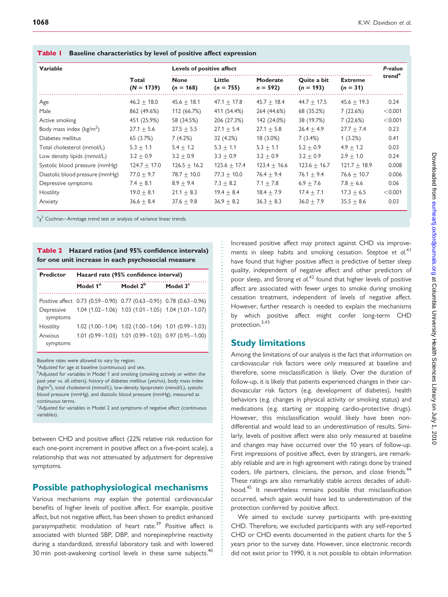| Variable                        | Levels of positive affect |                            |                       |                       |                            | P-value                      |                    |
|---------------------------------|---------------------------|----------------------------|-----------------------|-----------------------|----------------------------|------------------------------|--------------------|
|                                 | Total<br>$(N = 1739)$     | <b>None</b><br>$(n = 168)$ | Little<br>$(n = 755)$ | Moderate<br>$n = 592$ | Quite a bit<br>$(n = 193)$ | <b>Extreme</b><br>$(n = 31)$ | trend <sup>a</sup> |
| Age                             | $46.2 + 18.0$             | $45.6 + 18.1$              | $47.1 + 17.8$         | $45.7 + 18.4$         | $44.7 + 17.5$              | $45.6 + 19.3$                | 0.24               |
| Male                            | 862 (49.6%)               | 112 (66.7%)                | 411 (54.4%)           | 264 (44.6%)           | 68 (35.2%)                 | 7(22.6%)                     | < 0.001            |
| Active smoking                  | 451 (25.9%)               | 58 (34.5%)                 | 206 (27.3%)           | 142 (24.0%)           | 38 (19.7%)                 | 7(22.6%)                     | < 0.001            |
| Body mass index $(kg/m2)$       | $27.1 \pm 5.6$            | $27.5 \pm 5.5$             | $27.1 \pm 5.4$        | $27.1 + 5.8$          | $26.4 \pm 4.9$             | $27.7 + 7.4$                 | 0.23               |
| Diabetes mellitus               | 65 (3.7%)                 | 7(4.2%)                    | 32 (4.2%)             | 18 (3.0%)             | 7(3.4%)                    | 1(3.2%)                      | 0.41               |
| Total cholesterol (mmol/L)      | $5.3 + 1.1$               | $5.4 + 1.2$                | $5.3 + 1.1$           | $5.3 + 1.1$           | $5.2 + 0.9$                | $4.9 + 1.2$                  | 0.03               |
| Low density lipids (mmol/L)     | $3.2 + 0.9$               | $3.2 \pm 0.9$              | $3.3 + 0.9$           | $3.2 + 0.9$           | $3.2 + 0.9$                | $2.9 + 1.0$                  | 0.24               |
| Systolic blood pressure (mmHg)  | $124.7 + 17.0$            | $126.5 + 16.2$             | $125.6 + 17.4$        | $123.4 + 16.6$        | $123.6 + 16.7$             | $121.7 + 18.9$               | 0.008              |
| Diastolic blood pressure (mmHg) | $77.0 + 9.7$              | $78.7 + 10.0$              | $77.3 + 10.0$         | $76.4 + 9.4$          | $76.1 + 9.4$               | $76.6 + 10.7$                | 0.006              |
| Depressive symptoms             | $7.4 + 8.1$               | $8.9 \pm 9.4$              | $7.3 + 8.2$           | $7.1 + 7.8$           | $6.9 \pm 7.6$              | $7.8 + 6.6$                  | 0.06               |
| Hostility                       | $19.0 + 8.1$              | $21.1 + 8.3$               | $19.4 + 8.4$          | $18.4 + 7.9$          | $17.4 + 7.1$               | $17.3 + 6.5$                 | < 0.001            |
| Anxiety                         | $36.6 + 8.4$              | $37.6 + 9.8$               | $36.9 \pm 8.2$        | $36.3 + 8.3$          | $36.0 + 7.9$               | $35.5 + 8.6$                 | 0.03               |

Table 1 Baseline characteristics by level of positive affect expression

 $^{\rm a}\chi^2$  Cochran–Armitage trend test or analysis of variance linear trends.

#### Table 2 Hazard ratios (and 95% confidence intervals) for one unit increase in each psychosocial measure

| <b>Predictor</b>       | Hazard rate (95% confidence interval) |                      |                                                                    |  |  |  |
|------------------------|---------------------------------------|----------------------|--------------------------------------------------------------------|--|--|--|
|                        | Model 1 <sup>a</sup>                  | Model 2 <sup>b</sup> | Model 3 <sup>c</sup>                                               |  |  |  |
|                        |                                       |                      | Positive affect 0.73 (0.59-0.90) 0.77 (0.63-0.95) 0.78 (0.63-0.96) |  |  |  |
| Depressive<br>symptoms |                                       |                      | $1.04$ (1.02-1.06) 1.03 (1.01-1.05) 1.04 (1.01-1.07)               |  |  |  |
| Hostility              |                                       |                      | $1.02$ (1.00-1.04) $1.02$ (1.00-1.04) $1.01$ (0.99-1.03)           |  |  |  |
| Anxious<br>symptoms    |                                       |                      | $1.01$ (0.99 - 1.03) $1.01$ (0.99 - 1.03) 0.97 (0.95 - 1.00)       |  |  |  |

Baseline rates were allowed to vary by region.

<sup>a</sup>Adjusted for age at baseline (continuous) and sex.

<sup>b</sup>Adjusted for variables in Model 1 and smoking (smoking actively or within the past year vs. all others), history of diabetes mellitus (yes/no), body mass index (kg/m<sup>2</sup>), total cholesterol (mmol/L), low-density lipoprotein (mmol/L), systolic blood pressure (mmHg), and diastolic blood pressure (mmHg), measured as continuous terms.

<sup>c</sup>Adjusted for variables in Model 2 and symptoms of negative affect (continuous variables).

between CHD and positive affect (22% relative risk reduction for each one-point increment in positive affect on a five-point scale), a relationship that was not attenuated by adjustment for depressive symptoms.

## Possible pathophysiological mechanisms

Various mechanisms may explain the potential cardiovascular benefits of higher levels of positive affect. For example, positive affect, but not negative affect, has been shown to predict enhanced parasympathetic modulation of heart rate.<sup>39</sup> Positive affect is associated with blunted SBP, DBP, and norepinephrine reactivity during a standardized, stressful laboratory task and with lowered 30 min post-awakening cortisol levels in these same subjects. $40$ 

Increased positive affect may protect against CHD via improvements in sleep habits and smoking cessation. Steptoe et al.<sup>41</sup> have found that higher positive affect is predictive of better sleep quality, independent of negative affect and other predictors of poor sleep, and Strong et al.<sup>42</sup> found that higher levels of positive affect are associated with fewer urges to smoke during smoking cessation treatment, independent of levels of negative affect. However, further research is needed to explain the mechanisms by which positive affect might confer long-term CHD protection.<sup>3,43</sup>

## Study limitations

Among the limitations of our analysis is the fact that information on cardiovascular risk factors were only measured at baseline and therefore, some misclassification is likely. Over the duration of follow-up, it is likely that patients experienced changes in their cardiovascular risk factors (e.g. development of diabetes), health behaviors (e.g. changes in physical activity or smoking status) and medications (e.g. starting or stopping cardio-protective drugs). However, this misclassification would likely have been nondifferential and would lead to an underestimation of results. Similarly, levels of positive affect were also only measured at baseline and changes may have occurred over the 10 years of follow-up. First impressions of positive affect, even by strangers, are remarkably reliable and are in high agreement with ratings done by trained coders, life partners, clinicians, the person, and close friends.<sup>44</sup> These ratings are also remarkably stable across decades of adulthood.<sup>45</sup> It nevertheless remains possible that misclassification occurred, which again would have led to underestimation of the protection conferred by positive affect.

We aimed to exclude survey participants with pre-existing CHD. Therefore, we excluded participants with any self-reported CHD or CHD events documented in the patient charts for the 5 years prior to the survey date. However, since electronic records did not exist prior to 1990, it is not possible to obtain information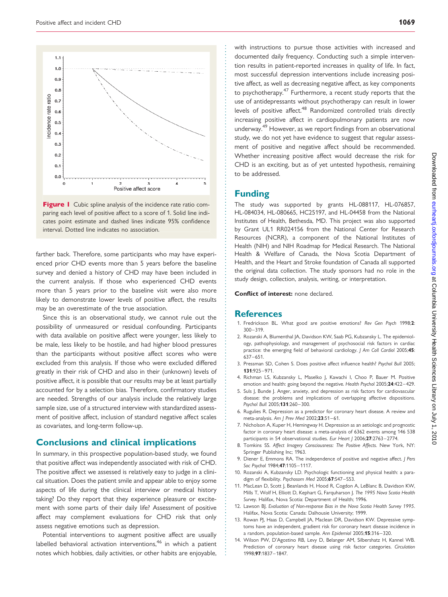



farther back. Therefore, some participants who may have experienced prior CHD events more than 5 years before the baseline survey and denied a history of CHD may have been included in the current analysis. If those who experienced CHD events more than 5 years prior to the baseline visit were also more likely to demonstrate lower levels of positive affect, the results may be an overestimate of the true association.

Since this is an observational study, we cannot rule out the possibility of unmeasured or residual confounding. Participants with data available on positive affect were younger, less likely to be male, less likely to be hostile, and had higher blood pressures than the participants without positive affect scores who were excluded from this analysis. If those who were excluded differed greatly in their risk of CHD and also in their (unknown) levels of positive affect, it is possible that our results may be at least partially accounted for by a selection bias. Therefore, confirmatory studies are needed. Strengths of our analysis include the relatively large sample size, use of a structured interview with standardized assessment of positive affect, inclusion of standard negative affect scales as covariates, and long-term follow-up.

### Conclusions and clinical implications

In summary, in this prospective population-based study, we found that positive affect was independently associated with risk of CHD. The positive affect we assessed is relatively easy to judge in a clinical situation. Does the patient smile and appear able to enjoy some aspects of life during the clinical interview or medical history taking? Do they report that they experience pleasure or excitement with some parts of their daily life? Assessment of positive affect may complement evaluations for CHD risk that only assess negative emotions such as depression.

Potential interventions to augment positive affect are usually labelled behavioral activation interventions, $46$  in which a patient notes which hobbies, daily activities, or other habits are enjoyable,

with instructions to pursue those activities with increased and documented daily frequency. Conducting such a simple intervention results in patient-reported increases in quality of life. In fact, most successful depression interventions include increasing positive affect, as well as decreasing negative affect, as key components to psychotherapy.<sup>47</sup> Furthermore, a recent study reports that the use of antidepressants without psychotherapy can result in lower levels of positive affect.<sup>48</sup> Randomized controlled trials directly increasing positive affect in cardiopulmonary patients are now underway.49 However, as we report findings from an observational study, we do not yet have evidence to suggest that regular assessment of positive and negative affect should be recommended. Whether increasing positive affect would decrease the risk for CHD is an exciting, but as of yet untested hypothesis, remaining to be addressed.

#### Funding

The study was supported by grants HL-088117, HL-076857, HL-084034, HL-080665, HC25197, and HL-04458 from the National Institutes of Health, Bethesda, MD. This project was also supported by Grant UL1 RR024156 from the National Center for Research Resources (NCRR), a component of the National Institutes of Health (NIH) and NIH Roadmap for Medical Research. The National Health & Welfare of Canada, the Nova Scotia Department of Health, and the Heart and Stroke foundation of Canada all supported the original data collection. The study sponsors had no role in the study design, collection, analysis, writing, or interpretation.

Conflict of interest: none declared.

#### **References**

- 1. Fredrickson BL. What good are positive emotions? Rev Gen Psych 1998;2: 300 –319.
- 2. Rozanski A, Blumenthal JA, Davidson KW, Saab PG, Kubzansky L. The epidemiology, pathophysiology, and management of psychosocial risk factors in cardiac practice: the emerging field of behavioral cardiology. J Am Coll Cardiol 2005;45: 637 –651.
- 3. Pressman SD, Cohen S. Does positive affect influence health? Psychol Bull 2005; 131:925–971.
- 4. Richman LS, Kubzansky L, Maselko J, Kawachi I, Choo P, Bauer M. Positive emotion and health: going beyond the negative. Health Psychol 2005;24:422-429.
- 5. Suls J, Bunde J. Anger, anxiety, and depression as risk factors for cardiovascular disease: the problems and implications of overlapping affective dispositions. Psychol Bull 2005:131:260-300.
- 6. Rugulies R. Depression as a predictor for coronary heart disease. A review and meta-analysis. Am J Prev Med 2002;23:51 –61.
- 7. Nicholson A, Kuper H, Hemingway H. Depression as an aetiologic and prognostic factor in coronary heart disease: a meta-analysis of 6362 events among 146 538 participants in 54 observational studies. Eur Heart J 2006;27:2763-2774.
- 8. Tomkins SS. Affect Imagery Consciousness: The Positive Affects. New York, NY: Springer Publishing Inc; 1963.
- 9. Diener E, Emmons RA. The independence of positive and negative affect. J Pers Soc Psychol 1984;47:1105-1117.
- 10. Rozanski A, Kubzansky LD. Psychologic functioning and physical health: a paradigm of flexibility. Psychosom Med 2005;67:S47-S53.
- 11. MacLean D, Scott J, Beanlands H, Hood R, Cogdon A, LeBlanc B, Davidson KW, Mills T, Wolf H, Elliott D, Kephart G, Farquharson J. The 1995 Nova Scotia Health Survey. Halifax, Nova Scotia: Department of Health; 1996.
- 12. Lawson BJ. Evaluation of Non-response Bias in the Nova Scotia Health Survey 1995. Halifax, Nova Scotia: Canada: Dalhousie University; 1999.
- 13. Rowan PJ, Haas D, Campbell JA, Maclean DR, Davidson KW. Depressive symptoms have an independent, gradient risk for coronary heart disease incidence in a random, population-based sample. Ann Epidemiol 2005;15:316–320.
- 14. Wilson PW, D'Agostino RB, Levy D, Belanger AM, Silbershatz H, Kannel WB. Prediction of coronary heart disease using risk factor categories. Circulation 1998;97:1837 – 1847.